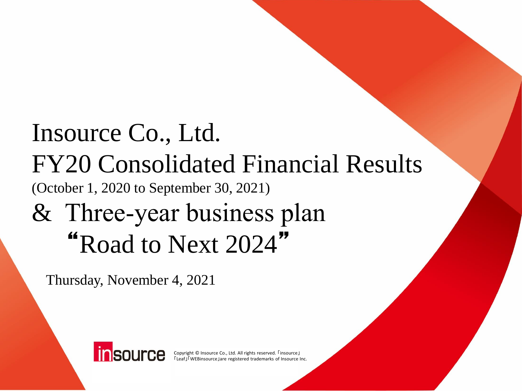# Insource Co., Ltd. FY20 Consolidated Financial Results (October 1, 2020 to September 30, 2021) & Three‐year business plan "Road to Next 2024"

Thursday, November 4, 2021



Copyright © Insource Co., Ltd. All rights reserved. 「insource」 「Leaf」「WEBinsource」are registered trademarks of Insource Inc.

Copyright © Insource Co., Ltd. All rights reserved. 「insource」「Leaf」「WEBinsource」are registered trademarks of Insource Inc. 0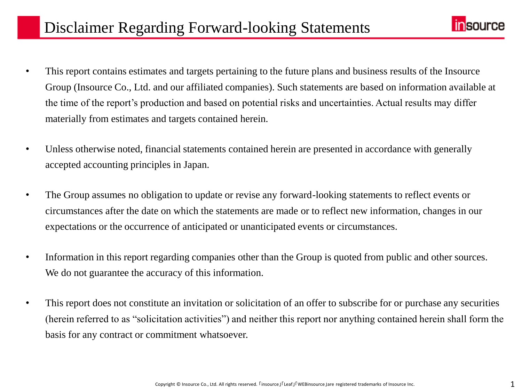

- This report contains estimates and targets pertaining to the future plans and business results of the Insource Group (Insource Co., Ltd. and our affiliated companies). Such statements are based on information available at the time of the report's production and based on potential risks and uncertainties. Actual results may differ materially from estimates and targets contained herein.
- Unless otherwise noted, financial statements contained herein are presented in accordance with generally accepted accounting principles in Japan.
- The Group assumes no obligation to update or revise any forward-looking statements to reflect events or circumstances after the date on which the statements are made or to reflect new information, changes in our expectations or the occurrence of anticipated or unanticipated events or circumstances.
- Information in this report regarding companies other than the Group is quoted from public and other sources. We do not guarantee the accuracy of this information.
- This report does not constitute an invitation or solicitation of an offer to subscribe for or purchase any securities (herein referred to as "solicitation activities") and neither this report nor anything contained herein shall form the basis for any contract or commitment whatsoever.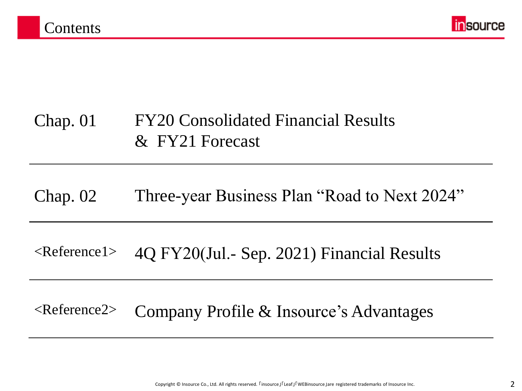

## Chap. 01 FY20 Consolidated Financial Results & FY21 Forecast

## Chap. 02 Three-year Business Plan "Road to Next 2024"

## <Reference1> 4Q FY20(Jul.‐ Sep. 2021) Financial Results

## <Reference2> Company Profile & Insource's Advantages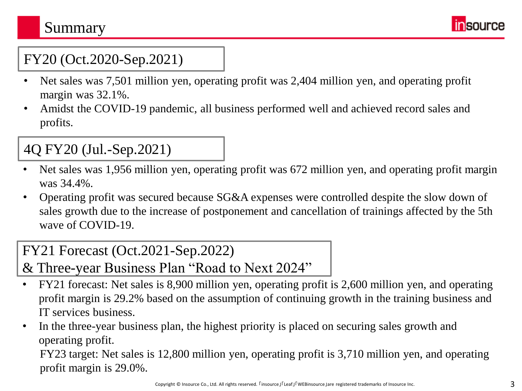## Summary **Summary**



## FY20 (Oct.2020-Sep.2021)

- Net sales was 7,501 million yen, operating profit was 2,404 million yen, and operating profit margin was 32.1%.
- Amidst the COVID-19 pandemic, all business performed well and achieved record sales and profits.

## 4Q FY20 (Jul.-Sep.2021)

- Net sales was 1,956 million yen, operating profit was 672 million yen, and operating profit margin was 34.4%.
- Operating profit was secured because SG&A expenses were controlled despite the slow down of sales growth due to the increase of postponement and cancellation of trainings affected by the 5th wave of COVID-19.

## FY21 Forecast (Oct.2021-Sep.2022)

- & Three-year Business Plan "Road to Next 2024"
- FY21 forecast: Net sales is 8,900 million yen, operating profit is 2,600 million yen, and operating profit margin is 29.2% based on the assumption of continuing growth in the training business and IT services business.
- In the three-year business plan, the highest priority is placed on securing sales growth and operating profit.

FY23 target: Net sales is 12,800 million yen, operating profit is 3,710 million yen, and operating profit margin is 29.0%.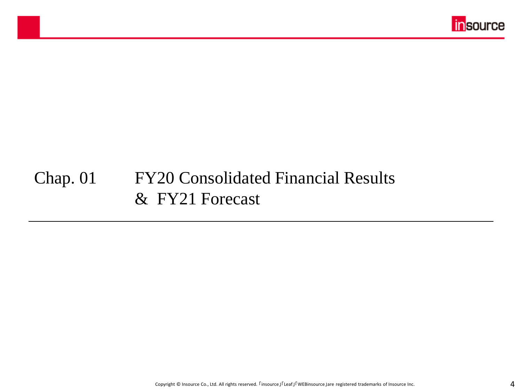

## Chap. 01 FY20 Consolidated Financial Results & FY21 Forecast

マスター タイトルの書式設定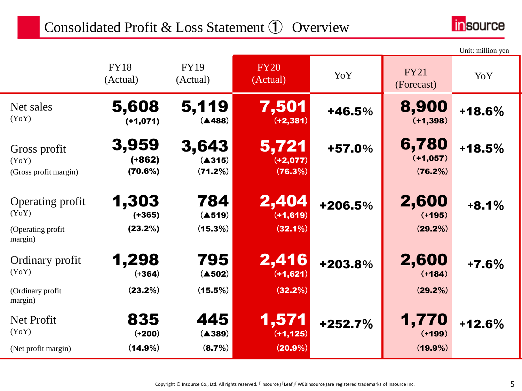## Consolidated Profit & Loss Statement ① Overview

۰



|                                                            |                               |                            |                                    |         |                                 | Unit: million yen |
|------------------------------------------------------------|-------------------------------|----------------------------|------------------------------------|---------|---------------------------------|-------------------|
|                                                            | <b>FY18</b><br>(Actual)       | <b>FY19</b><br>(Actual)    | <b>FY20</b><br>(Actual)            | YoY     | <b>FY21</b><br>(Forecast)       | YoY               |
| Net sales<br>(YoY)                                         | 5,608<br>$(+1,071)$           | 5,119<br>(A488)            | 7,501<br>$(+2, 381)$               | +46.5%  | 8,900<br>$(+1, 398)$            | $+18.6%$          |
| Gross profit<br>(YoY)<br>(Gross profit margin)             | 3,959<br>$(+862)$<br>(70.6%)  | 3,643<br>(A315)<br>(71.2%) | 5,721<br>$(+2,077)$<br>(76.3%)     | +57.0%  | 6,780<br>$(+1,057)$<br>(76.2%)  | $+18.5%$          |
| Operating profit<br>(YoY)<br>(Operating profit)<br>margin) | 1,303<br>$(+365)$<br>(23.2%)  | 784<br>(4519)<br>(15.3%)   | 2,404<br>$(+1,619)$<br>$(32.1\%)$  | +206.5% | 2,600<br>$(+195)$<br>(29.2%)    | $+8.1%$           |
| Ordinary profit<br>(YoY)<br>(Ordinary profit<br>margin)    | 1,298<br>$(+364)$<br>(23.2%)  | 795<br>(4502)<br>(15.5%)   | 2,416<br>$(+1,621)$<br>(32.2%)     | +203.8% | 2,600<br>$(+184)$<br>(29.2%)    | $+7.6%$           |
| Net Profit<br>(YoY)<br>(Net profit margin)                 | 835<br>$(+200)$<br>$(14.9\%)$ | 445<br>(A389)<br>(8.7%)    | 1,571<br>$(+1, 125)$<br>$(20.9\%)$ | +252.7% | 1,770<br>$(+199)$<br>$(19.9\%)$ | $+12.6%$          |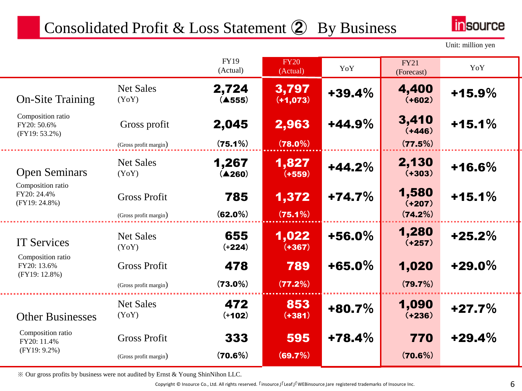## Consolidated Profit & Loss Statement 2 By Business



Unit: million yen

|                                                      |                                              | <b>FY19</b><br>(Actual)    | <b>FY20</b><br>(Actual) | YoY       | <b>FY21</b><br>(Forecast)    | YoY       |
|------------------------------------------------------|----------------------------------------------|----------------------------|-------------------------|-----------|------------------------------|-----------|
| <b>On-Site Training</b>                              | <b>Net Sales</b><br>(YoY)                    | 2,724<br>(4555)            | 3,797<br>$(+1,073)$     | $+39.4%$  | 4,400<br>$(+602)$            | $+15.9%$  |
| Composition ratio<br>FY20: 50.6%<br>$(FY19: 53.2\%)$ | Gross profit                                 | 2,045                      | 2,963                   | $+44.9%$  | 3,410<br>$(+446)$            | $+15.1%$  |
|                                                      | (Gross profit margin)                        | (75.1%)                    | $(78.0\%)$              |           | (77.5%)                      |           |
| <b>Open Seminars</b>                                 | <b>Net Sales</b><br>(YoY)                    | 1,267<br>$(\triangle 260)$ | 1,827<br>$(+559)$       | $+44.2%$  | 2,130<br>$(+303)$            | $+16.6%$  |
| Composition ratio<br>FY20: 24.4%<br>$(FY19: 24.8\%)$ | <b>Gross Profit</b><br>(Gross profit margin) | 785<br>$(62.0\%)$          | 1,372<br>(75.1%)        | $+74.7%$  | 1,580<br>$(+207)$<br>(74.2%) | $+15.1%$  |
| <b>IT Services</b>                                   | <b>Net Sales</b><br>(YoY)                    | 655<br>$(+224)$            | 1,022<br>$(+367)$       | $+56.0\%$ | 1,280<br>$(+257)$            | $+25.2%$  |
| Composition ratio<br>FY20: 13.6%<br>(FY19: 12.8%)    | <b>Gross Profit</b><br>(Gross profit margin) | 478<br>$(73.0\%)$          | 789<br>(77.2%)          | $+65.0\%$ | 1,020<br>(79.7%)             | $+29.0\%$ |
| <b>Other Businesses</b>                              | <b>Net Sales</b><br>(YoY)                    | 472<br>$(+102)$            | 853<br>$(+381)$         | $+80.7%$  | 1,090<br>$(+236)$            | $+27.7%$  |
| Composition ratio<br>FY20: 11.4%<br>$(FY19: 9.2\%)$  | <b>Gross Profit</b>                          | 333                        | 595                     | $+78.4%$  | 770                          | $+29.4%$  |
|                                                      | (Gross profit margin)                        | (70.6%)                    | (69.7%)                 |           | (70.6%)                      |           |

※ Our gross profits by business were not audited by Ernst & Young ShinNihon LLC.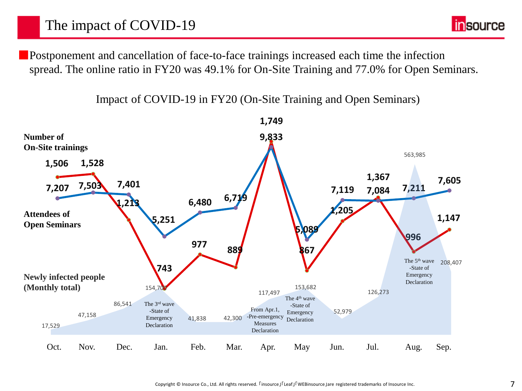

■Postponement and cancellation of face-to-face trainings increased each time the infection spread. The online ratio in FY20 was 49.1% for On-Site Training and 77.0% for Open Seminars.

Impact of COVID-19 in FY20 (On-Site Training and Open Seminars)

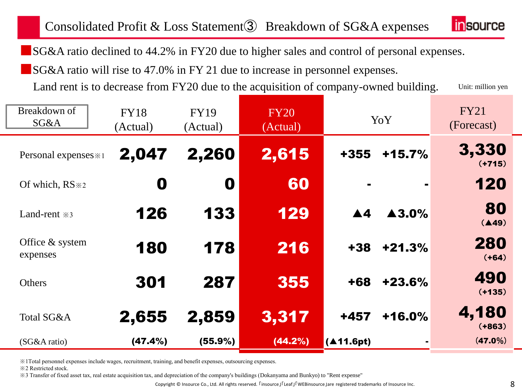## Consolidated Profit & Loss Statement③ Breakdown of SG&A expenses



■SG&A ratio declined to 44.2% in FY20 due to higher sales and control of personal expenses.

■SG&A ratio will rise to 47.0% in FY 21 due to increase in personnel expenses.

Unit: million yen Land rent is to decrease from FY20 due to the acquisition of company-owned building.

| Breakdown of<br>SG&A        | <b>FY18</b><br>(Actual) | <b>FY19</b><br>(Actual) | <b>FY20</b><br>(Actual) | YoY                |                       | <b>FY21</b><br>(Forecast) |
|-----------------------------|-------------------------|-------------------------|-------------------------|--------------------|-----------------------|---------------------------|
| Personal expenses * 1       | 2,047                   | 2,260                   | 2,615                   | +355               | $+15.7%$              | 3,330<br>$(+715)$         |
| Of which, RS $*2$           | 0                       | O                       | 60                      |                    |                       | 120                       |
| Land-rent $\approx$ 3       | 126                     | 133                     | 129                     | $\blacktriangle 4$ | $\blacktriangle$ 3.0% | 80<br>(A49)               |
| Office & system<br>expenses | 180                     | 178                     | 216                     | $+38$              | $+21.3%$              | 280<br>$(+64)$            |
| Others                      | 301                     | 287                     | 355                     | +68                | $+23.6%$              | 490<br>$(+135)$           |
| Total SG&A                  | 2,655                   | 2,859                   | 3,317                   | +457               | $+16.0%$              | 4,180<br>$(+863)$         |
| (SG&A ratio)                | (47.4%)                 | $(55.9\%)$              | $(44.2\%)$              | (411.6pt)          |                       | $(47.0\%)$                |

※1Total personnel expenses include wages, recruitment, training, and benefit expenses, outsourcing expenses.

※2 Restricted stock.

※3 Transfer of fixed asset tax, real estate acquisition tax, and depreciation of the company's buildings (Dokanyama and Bunkyo) to "Rent expense"

Copyright © Insource Co., Ltd. All rights reserved.  $\Gamma$ insource」「Leaf」「WEBinsource」are registered trademarks of Insource Inc.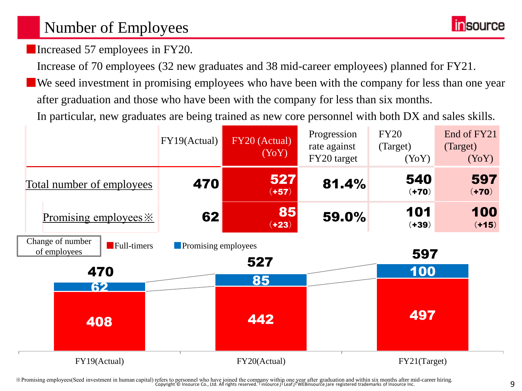## Number of Employees

**insource** 

■Increased 57 employees in FY20.

Increase of 70 employees (32 new graduates and 38 mid-career employees) planned for FY21.

■We seed investment in promising employees who have been with the company for less than one year after graduation and those who have been with the company for less than six months.

In particular, new graduates are being trained as new core personnel with both DX and sales skills.



Epopyright © Insource Co., Ltd. All rights reserved. I insource JI Leaf J WEBinsource Jare registered trademarks of Insource Inc.<br>Oppyright © Insource Co., Ltd. All rights reserved. I insource JI Leaf J WEBinsource Jare re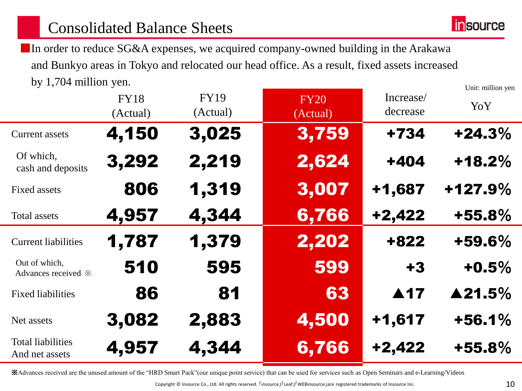## Consolidated Balance Sheets



Unit: million yen ■ In order to reduce SG&A expenses, we acquired company-owned building in the Arakawa and Bunkyo areas in Tokyo and relocated our head office. As a result, fixed assets increased by 1,704 million yen.

|                                                     | <b>FY18</b><br>(Actual) | <b>FY19</b><br>(Actual) | <b>FY20</b><br>(Actual) | Increase/<br>decrease | они, нингон усп<br>YoY |
|-----------------------------------------------------|-------------------------|-------------------------|-------------------------|-----------------------|------------------------|
| <b>Current assets</b>                               | 4,150                   | 3,025                   | 3,759                   | +734                  | $+24.3%$               |
| Of which,<br>cash and deposits                      | 3,292                   | 2,219                   | 2,624                   | $+404$                | $+18.2%$               |
| Fixed assets                                        | 806                     | 1,319                   | 3,007                   | +1,687                | +127.9%                |
| <b>Total assets</b>                                 | 4,957                   | 4,344                   | 6,766                   | $+2,422$              | $+55.8%$               |
| <b>Current liabilities</b>                          | 1,787                   | 1,379                   | 2,202                   | +822                  | +59.6%                 |
| Out of which,<br>Advances received $\divideontimes$ | 510                     | 595                     | 599                     | $+3$                  | $+0.5%$                |
| <b>Fixed liabilities</b>                            | 86                      | 81                      | 63                      | $\blacktriangle$ 17   | ▲21.5%                 |
| Net assets                                          | 3,082                   | 2,883                   | 4,500                   | $+1,617$              | $+56.1%$               |
| <b>Total liabilities</b><br>And net assets          | 4,957                   | 4,344                   | 6,766                   | $+2,422$              | $+55.8%$               |

※Advances received are the unused amount of the "HRD Smart Pack"(our unique point service) that can be used for services such as Open Seminars and e-Learning/Videos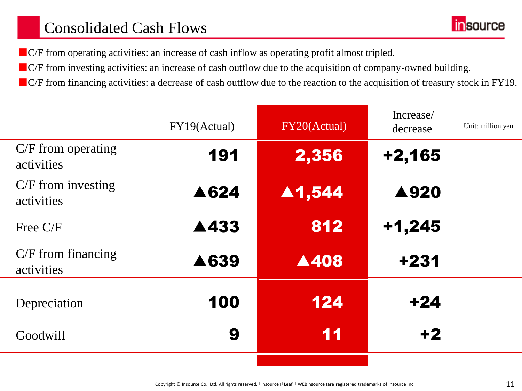## Consolidated Cash Flows

■C/F from operating activities: an increase of cash inflow as operating profit almost tripled.

- ■C/F from investing activities: an increase of cash outflow due to the acquisition of company-owned building.
- ■C/F from financing activities: a decrease of cash outflow due to the reaction to the acquisition of treasury stock in FY19.

|                                    | FY19(Actual) | FY20(Actual)           | Increase/<br>decrease | Unit: million yen |
|------------------------------------|--------------|------------------------|-----------------------|-------------------|
| $C/F$ from operating<br>activities | 191          | 2,356                  | $+2,165$              |                   |
| $C/F$ from investing<br>activities | ▲624         | $\blacktriangle$ 1,544 | ▲920                  |                   |
| Free $C/F$                         | ▲433         | 812                    | $+1,245$              |                   |
| $C/F$ from financing<br>activities | ▲639         | A408                   | +231                  |                   |
| Depreciation                       | 100          | 124                    | $+24$                 |                   |
| Goodwill                           | 9            | 11                     | $+2$                  |                   |
|                                    |              |                        |                       |                   |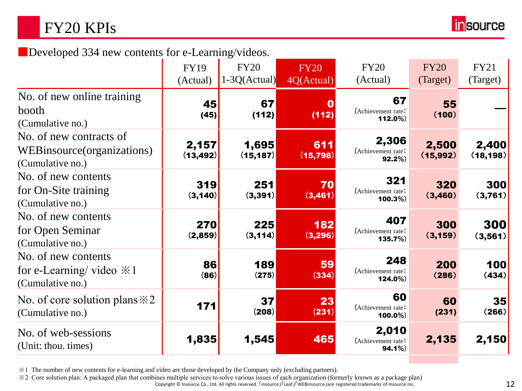## FY20 KPIs



■Developed 334 new contents for e-Learning/videos.

|                                                                                   | <b>FY19</b><br>(Actual) | <b>FY20</b><br>$1-3Q(Actual)$ | <b>FY20</b><br>4Q(Actual) | <b>FY20</b><br>(Actual)                 | <b>FY20</b><br>(Target) | <b>FY21</b><br>(Target) |
|-----------------------------------------------------------------------------------|-------------------------|-------------------------------|---------------------------|-----------------------------------------|-------------------------|-------------------------|
| No. of new online training<br>booth<br>(Cumulative no.)                           | 45<br>(45)              | 67<br>(112)                   | (112)                     | 67<br>(Achievement rate:<br>112.0%)     | 55<br>(100)             |                         |
| No. of new contracts of<br>WEBinsource (organizations)<br>(Cumulative no.)        | 2,157<br>(13, 492)      | 1,695<br>(15, 187)            | 611<br>(15, 798)          | 2,306<br>(Achievement rate:<br>$92.2\%$ | 2,500<br>(15, 992)      | 2,400<br>(18, 198)      |
| No. of new contents<br>for On-Site training<br>(Cumulative no.)                   | 319<br>(3, 140)         | 251<br>(3, 391)               | 70<br>(3,461)             | 321<br>(Achievement rate:<br>$100.3\%)$ | 320<br>(3,460)          | 300<br>(3,761)          |
| No. of new contents<br>for Open Seminar<br>(Cumulative no.)                       | 270<br>(2,859)          | 225<br>(3, 114)               | 182<br>(3,296)            | 407<br>(Achievement rate<br>135.7%)     | 300<br>(3, 159)         | 300<br>(3,561)          |
| No. of new contents<br>for e-Learning/ video $\ddot{\times}1$<br>(Cumulative no.) | 86<br>(86)              | 189<br>(275)                  | 59<br>(334)               | 248<br>(Achievement rate:<br>124.0%)    | 200<br>(286)            | 100<br>(434)            |
| No. of core solution plans $\& 2$<br>(Cumulative no.)                             | 171                     | 37<br>(208)                   | 23<br>(231)               | 60<br>(Achievement rate:<br>$100.0\%$   | 60<br>(231)             | 35<br>(266)             |
| No. of web-sessions<br>(Unit: thou. times)                                        | 1,835                   | 1,545                         | 465                       | 2,010<br>(Achievement rate:<br>94.1%    | 2,135                   | 2,150                   |

※1 The number of new contents for e-learning and video are those developed by the Company only (excluding partners).

※2 Core solution plan: A packaged plan that combines multiple services to solve various issues of each organization (formerly known as a package plan)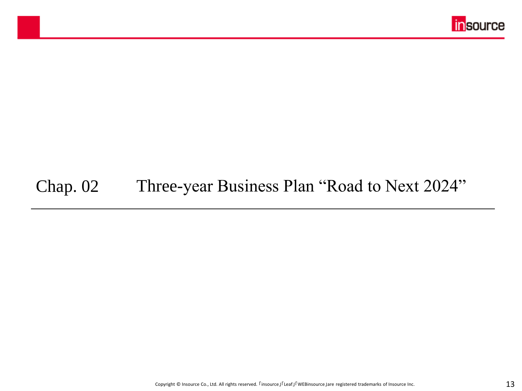

## Chap. 02 Three-year Business Plan "Road to Next 2024"

マスター タイトルの書式設定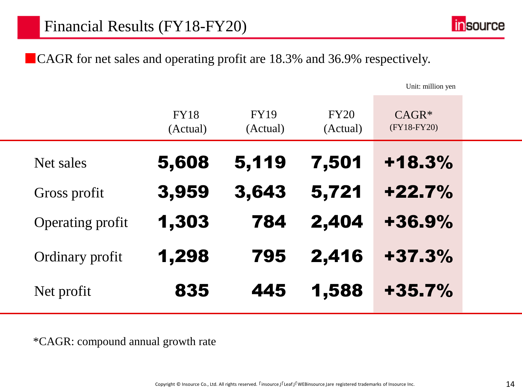■CAGR for net sales and operating profit are 18.3% and 36.9% respectively.

Unit: million yen

|                         | <b>FY18</b><br>(Actual) | <b>FY19</b><br>(Actual) | FY20<br>(Actual) | $CAGR*$<br>(FY18-FY20) |  |
|-------------------------|-------------------------|-------------------------|------------------|------------------------|--|
| Net sales               | 5,608                   | 5,119                   | 7,501            | $+18.3%$               |  |
| Gross profit            | 3,959                   | 3,643                   | 5,721            | $+22.7%$               |  |
| <b>Operating profit</b> | 1,303                   | 784                     | 2,404            | $+36.9%$               |  |
| Ordinary profit         | 1,298                   | 795                     | 2,416            | $+37.3%$               |  |
| Net profit              | 835                     | 445                     | 1,588            | $+35.7%$               |  |

\*CAGR: compound annual growth rate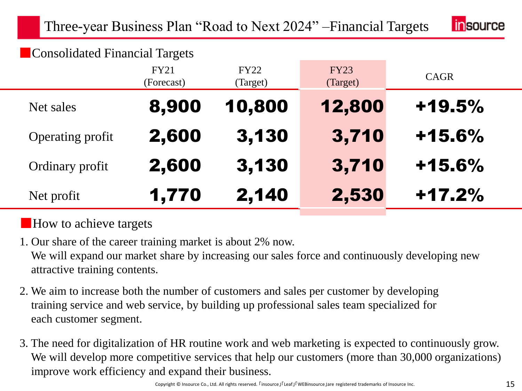

### ■ Consolidated Financial Targets

|                  | <b>FY21</b><br>(Forecast) | <b>FY22</b><br>(Target) | <b>FY23</b><br>(Target) | CAGR     |
|------------------|---------------------------|-------------------------|-------------------------|----------|
| Net sales        | 8,900                     | 10,800                  | 12,800                  | $+19.5%$ |
| Operating profit | 2,600                     | 3,130                   | 3,710                   | $+15.6%$ |
| Ordinary profit  | 2,600                     | 3,130                   | 3,710                   | $+15.6%$ |
| Net profit       | 1,770                     | 2,140                   | 2,530                   | $+17.2%$ |

### ■How to achieve targets

1. Our share of the career training market is about 2% now. We will expand our market share by increasing our sales force and continuously developing new attractive training contents.

- 2. We aim to increase both the number of customers and sales per customer by developing training service and web service, by building up professional sales team specialized for each customer segment.
- 3. The need for digitalization of HR routine work and web marketing is expected to continuously grow. We will develop more competitive services that help our customers (more than 30,000 organizations) improve work efficiency and expand their business.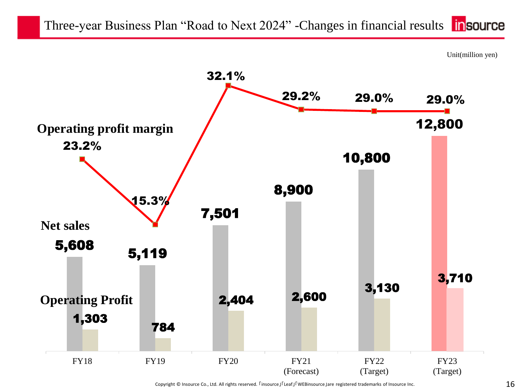



Copyright © Insource Co., Ltd. All rights reserved.  $\Gamma$ insource」「Leaf」「WEBinsource」are registered trademarks of Insource Inc.  $16$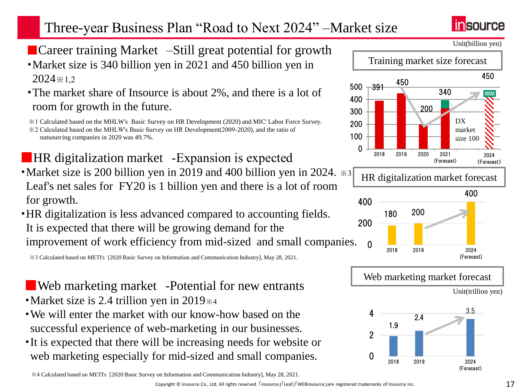## Three-year Business Plan "Road to Next 2024" –Market size



■ Career training Market –Still great potential for growth ・Market size is 340 billion yen in 2021 and 450 billion yen in

2024※1,2

• The market share of Insource is about 2%, and there is a lot of room for growth in the future.

※1 Calculated based on the MHLW's Basic Survey on HR Development (2020) and MIC' Labor Force Survey.

■HR digitalization market – Expansion is expected • Market size is 200 billion yen in 2019 and 400 billion yen in 2024.  $\ast$ 3

Leaf's net sales for FY20 is 1 billion yen and there is a lot of room for growth.

・HR digitalization is less advanced compared to accounting fields. It is expected that there will be growing demand for the improvement of work efficiency from mid-sized and small companies.

※3 Calculated based on METI's [2020 Basic Survey on Information and Communication Industry], May 28, 2021.

- ■Web marketing market -Potential for new entrants
- ・Market size is 2.4 trillion yen in 2019※4
- ・We will enter the market with our know-how based on the successful experience of web-marketing in our businesses.
- ・It is expected that there will be increasing needs for website or web marketing especially for mid-sized and small companies.

※4 Calculated based on METI's [2020 Basic Survey on Information and Communication Industry], May 28, 2021.











<sup>※2</sup> Calculated based on the MHLW's Basic Survey on HR Development(2009-2020), and the ratio of outsourcing companies in 2020 was 49.7%.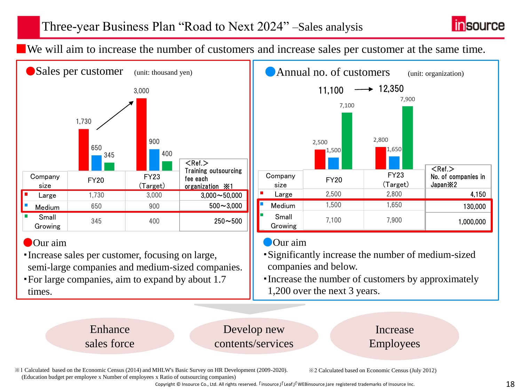

■We will aim to increase the number of customers and increase sales per customer at the same time.



### ● Our aim

- ・Increase sales per customer, focusing on large, semi-large companies and medium-sized companies.
- ・For large companies, aim to expand by about 1.7 times.



### ●Our aim

- ・Significantly increase the number of medium-sized companies and below.
- ・Increase the number of customers by approximately 1,200 over the next 3 years.

Enhance sales force

Develop new contents/services

### Increase Employees

※1 Calculated based on the Economic Census (2014) and MHLW's Basic Survey on HR Development (2009-2020). (Education budget per employee x Number of employees x Ratio of outsourcing companies)

※2 Calculated based on Economic Census (July 2012)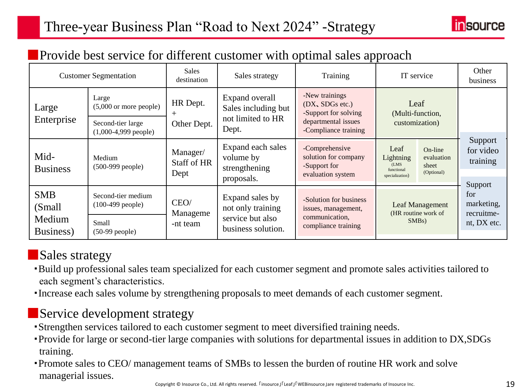

### **Provide best service for different customer with optimal sales approach**

|                                                                                                        | <b>Customer Segmentation</b>                          |                                                                                    | <b>Sales</b><br>Training<br>Sales strategy<br>destination                                                                      |                                                                             | IT service                                                  |                                              | Other<br>business                |
|--------------------------------------------------------------------------------------------------------|-------------------------------------------------------|------------------------------------------------------------------------------------|--------------------------------------------------------------------------------------------------------------------------------|-----------------------------------------------------------------------------|-------------------------------------------------------------|----------------------------------------------|----------------------------------|
| Large                                                                                                  | Large<br>HR Dept.<br>$(5,000 \text{ or more people})$ |                                                                                    | -New trainings<br>Expand overall<br>Leaf<br>(DX, SDGs etc.)<br>Sales including but<br>-Support for solving<br>(Multi-function, |                                                                             |                                                             |                                              |                                  |
| Enterprise                                                                                             | Second-tier large<br>$(1,000-4,999$ people)           | Other Dept.                                                                        | not limited to HR<br>Dept.                                                                                                     | departmental issues<br>-Compliance training                                 | customization)                                              |                                              |                                  |
| Mid-<br><b>Business</b>                                                                                | Medium<br>$(500-999)$ people)                         | Expand each sales<br>Manager/<br>volume by<br>Staff of HR<br>strengthening<br>Dept |                                                                                                                                | -Comprehensive<br>solution for company<br>-Support for<br>evaluation system | Leaf<br>Lightning<br>(LMS)<br>functional<br>specialization) | On-line<br>evaluation<br>sheet<br>(Optional) | Support<br>for video<br>training |
|                                                                                                        | proposals.                                            |                                                                                    |                                                                                                                                |                                                                             |                                                             | Support                                      |                                  |
| <b>SMB</b><br>(Small)                                                                                  | Second-tier medium<br>$(100-499$ people)              | Expand sales by<br>CEO/<br>not only training<br>Manageme                           |                                                                                                                                | -Solution for business<br>issues, management,                               | Leaf Management<br>(HR routine work of                      |                                              | for<br>marketing,<br>recruitme-  |
| service but also<br>Medium<br>Small<br>-nt team<br>business solution.<br>Business)<br>$(50-99$ people) |                                                       | communication,<br>compliance training                                              | $SMBs$ )                                                                                                                       |                                                                             | nt, DX etc.                                                 |                                              |                                  |

### ■Sales strategy

- ・Build up professional sales team specialized for each customer segment and promote sales activities tailored to each segment's characteristics.
- ・Increase each sales volume by strengthening proposals to meet demands of each customer segment.

### ■Service development strategy

- ・Strengthen services tailored to each customer segment to meet diversified training needs.
- ・Provide for large or second-tier large companies with solutions for departmental issues in addition to DX,SDGs training.
- ・Promote sales to CEO/ management teams of SMBs to lessen the burden of routine HR work and solve managerial issues.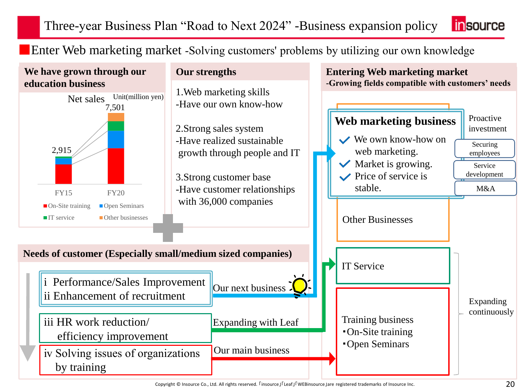Three-year Business Plan "Road to Next 2024" -Business expansion policy **linsource** 

■ Enter Web marketing market -Solving customers' problems by utilizing our own knowledge



Copyright © Insource Co., Ltd. All rights reserved.  $\Gamma$ insource」「Leaf」「WEBinsource」are registered trademarks of Insource Inc. 20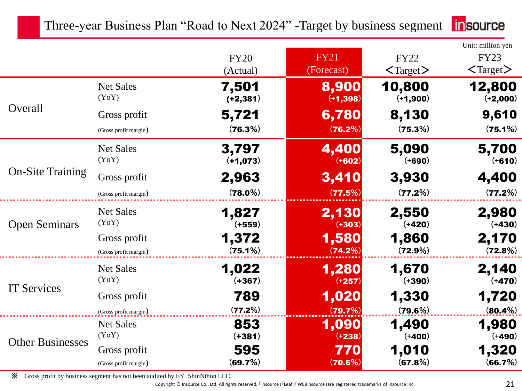| <b>n</b> source |
|-----------------|
|                 |

|                         |                                       | <b>FY20</b>          | <b>FY21</b>          | <b>FY22</b>                | Unit: million yen<br><b>FY23</b> |
|-------------------------|---------------------------------------|----------------------|----------------------|----------------------------|----------------------------------|
|                         |                                       | (Actual)             | (Forecast)           | $\langle$ Target $\rangle$ | $\langle$ Target $\rangle$       |
|                         | <b>Net Sales</b><br>(YoY)             | 7,501<br>$(+2, 381)$ | 8,900<br>$(+1, 398)$ | 10,800<br>$(+1,900)$       | 12,800<br>$(+2,000)$             |
| Overall                 | Gross profit                          | 5,721                | 6,780                | 8,130                      | 9,610                            |
|                         | (Gross profit margin)                 | (76.3%)              | (76.2%)              | (75.3%)                    | (75.1%)                          |
|                         | <b>Net Sales</b><br>(YoY)             | 3,797<br>$(+1,073)$  | 4,400<br>$(+602)$    | 5,090<br>$(+690)$          | 5,700<br>$(+610)$                |
| <b>On-Site Training</b> | Gross profit                          | 2,963                | 3,410                | 3,930                      | 4,400                            |
|                         | (Gross profit margin)                 | $(78.0\%)$           | (77.5%)              | (77.2%)                    | (77.2%)                          |
| <b>Open Seminars</b>    | <b>Net Sales</b><br>(YoY)             | 1,827<br>$(+559)$    | 2,130<br>$(+303)$    | 2,550<br>$(+420)$          | 2,980<br>$(+430)$                |
|                         | Gross profit<br>(Gross profit margin) | 1,372<br>(75.1%)     | 1,580<br>(74.2%)     | 1,860<br>$(72.9\%)$        | 2,170<br>(72.8%)                 |
|                         | <b>Net Sales</b><br>(YoY)             | 1,022<br>$(+367)$    | 1,280<br>$(+257)$    | 1,670<br>$(+390)$          | 2,140<br>$(+470)$                |
| <b>IT Services</b>      | Gross profit<br>(Gross profit margin) | 789<br>(77.2%)       | 1,020<br>(79.7%)     | 1,330<br>(79.6%)           | 1,720<br>$(80.4\%)$              |
| <b>Other Businesses</b> | <b>Net Sales</b><br>(YoY)             | 853<br>$(+381)$      | 1,090<br>$(+238)$    | 1,490<br>$(+400)$          | 1,980<br>$(+490)$                |
|                         | Gross profit                          | 595                  | 770                  | 1,010                      | 1,320                            |
|                         | (Gross profit margin)                 | (69.7%)              | (70.6%)              | (67.8%)                    | (66.7%)                          |

※ Gross profit by business segment has not been audited by EY ShinNihon LLC.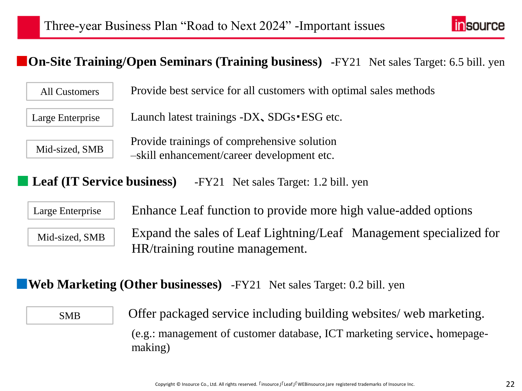

### ■**On-Site Training/Open Seminars (Training business) -**FY21 Net sales Target: 6.5 bill. yen

All Customers

Provide best service for all customers with optimal sales methods

Large Enterprise

Launch latest trainings -DX、SDGs・ESG etc.

Mid-sized, SMB

Provide trainings of comprehensive solution –skill enhancement/career development etc.

**Leaf (IT Service business)** -FY21 Net sales Target: 1.2 bill. yen

Large Enterprise

Enhance Leaf function to provide more high value-added options

Mid-sized, SMB

Expand the sales of Leaf Lightning/Leaf Management specialized for HR/training routine management.

### ■**Web Marketing (Other businesses)** -FY21 Net sales Target: 0.2 bill. yen

(e.g.: management of customer database, ICT marketing service、homepagemaking) SMB Offer packaged service including building websites/ web marketing.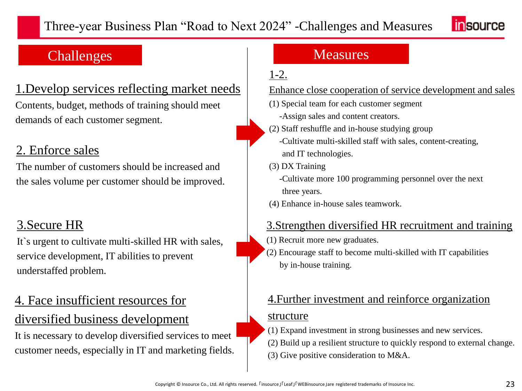

### Challenges Measures

### 1.Develop services reflecting market needs

Contents, budget, methods of training should meet demands of each customer segment.

### 2. Enforce sales

The number of customers should be increased and the sales volume per customer should be improved.

### 3.Secure HR

It`s urgent to cultivate multi-skilled HR with sales, service development, IT abilities to prevent understaffed problem.

# 4. Face insufficient resources for

### diversified business development

It is necessary to develop diversified services to meet customer needs, especially in IT and marketing fields.

### 1-2.

### Enhance close cooperation of service development and sales

- (1) Special team for each customer segment -Assign sales and content creators.
- (2) Staff reshuffle and in-house studying group -Cultivate multi-skilled staff with sales, content-creating, and IT technologies.
- (3) DX Training

-Cultivate more 100 programming personnel over the next three years.

(4) Enhance in-house sales teamwork.

### 3.Strengthen diversified HR recruitment and training

- (1) Recruit more new graduates.
- (2) Encourage staff to become multi-skilled with IT capabilities by in-house training.

# 4.Further investment and reinforce organization

### structure

- (1) Expand investment in strong businesses and new services.
- (2) Build up a resilient structure to quickly respond to external change.
- (3) Give positive consideration to M&A.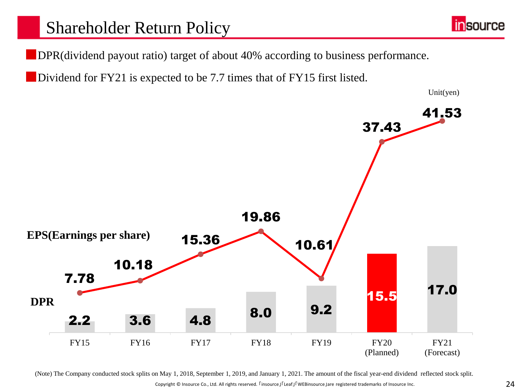■DPR(dividend payout ratio) target of about 40% according to business performance.

Dividend for FY21 is expected to be 7.7 times that of FY15 first listed.



(Note) The Company conducted stock splits on May 1, 2018, September 1, 2019, and January 1, 2021. The amount of the fiscal year-end dividend reflected stock split.

Copyright © Insource Co., Ltd. All rights reserved. 「insource」「Leaf」「WEBinsource」are registered trademarks of Insource Inc. 24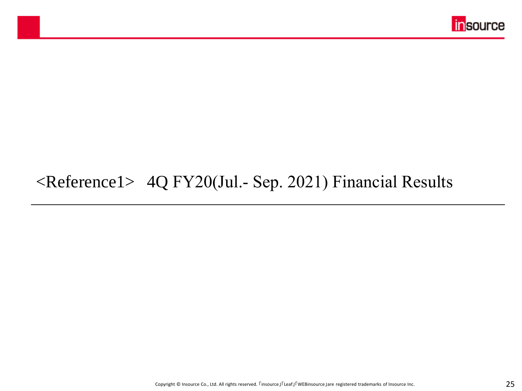

## <Reference1> 4Q FY20(Jul.‐ Sep. 2021) Financial Results

マスター タイトルの書式設定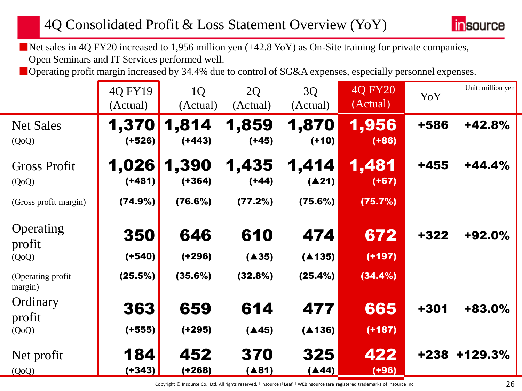

■Net sales in 4Q FY20 increased to 1,956 million yen (+42.8 YoY) as On-Site training for private companies, Open Seminars and IT Services performed well.

■ Operating profit margin increased by 34.4% due to control of SG&A expenses, especially personnel expenses.

|                               | 4Q FY19<br>(Actual) | 1Q<br>(Actual)    | 2Q<br>(Actual)   | 3Q<br>(Actual)   | 4Q FY20<br>(Actual) | YoY    | Unit: million yen |
|-------------------------------|---------------------|-------------------|------------------|------------------|---------------------|--------|-------------------|
| <b>Net Sales</b><br>(QoQ)     | 1,370<br>$(+526)$   | 1,814<br>$(+443)$ | 1,859<br>$(+45)$ | 1,870<br>$(+10)$ | 1,956<br>$( +86)$   | +586   | $+42.8%$          |
| <b>Gross Profit</b><br>(QoQ)  | 1,026<br>$(+481)$   | 1,390<br>$(+364)$ | 1,435<br>$(+44)$ | 1,414<br>(A21)   | 1,481<br>$(+67)$    | +455   | $+44.4%$          |
| (Gross profit margin)         | (74.9%)             | (76.6%)           | (77.2%)          | (75.6%)          | (75.7%)             |        |                   |
| Operating<br>profit           | 350                 | 646               | 610              | 474              | 672                 | $+322$ | +92.0%            |
| (QoQ)                         | $(+540)$            | $(+296)$          | (A35)            | (A135)           | $(+197)$            |        |                   |
| (Operating profit)<br>margin) | (25.5%)             | (35.6%)           | (32.8%)          | (25.4%)          | $(34.4\%)$          |        |                   |
| Ordinary                      | 363                 | 659               | 614              | 477              | 665                 | +301   | +83.0%            |
| profit                        |                     |                   |                  |                  |                     |        |                   |
| (QoQ)                         | $(+555)$            | $(+295)$          | (A45)            | (A136)           | $(+187)$            |        |                   |
| Net profit                    | 184                 | 452               | 370              | 325              | 422                 | +238   | +129.3%           |
| (QoQ)                         | $(+343)$            | (+268)            | (481)            | (A44)            | $(+96)$             |        |                   |

Copyright © Insource Co., Ltd. All rights reserved.  $\Gamma$ insource] $\Gamma$ Leaf」「WEBinsource]are registered trademarks of Insource Inc. 26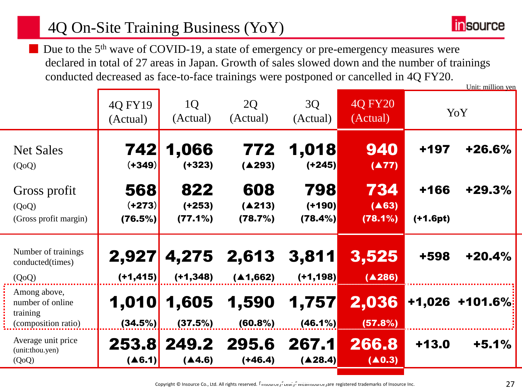## 4Q On-Site Training Business (YoY)



Due to the 5<sup>th</sup> wave of COVID-19, a state of emergency or pre-emergency measures were declared in total of 27 areas in Japan. Growth of sales slowed down and the number of trainings conducted decreased as face-to-face trainings were postponed or cancelled in 4Q FY20. Unit: million yen

|                                                                     | 4Q FY19<br>(Actual)        | 1Q<br>(Actual)             | 2Q<br>(Actual)           | 3Q<br>(Actual)             | 4Q FY20<br>(Actual)             |                  | YoY        |
|---------------------------------------------------------------------|----------------------------|----------------------------|--------------------------|----------------------------|---------------------------------|------------------|------------|
| <b>Net Sales</b><br>(QoQ)                                           | 742<br>$(+349)$            | 1,066<br>$(+323)$          | 772<br>(A293)            | 1,018<br>$(+245)$          | 940<br>(A77)                    | $+197$           | $+26.6%$   |
| Gross profit<br>(QoQ)<br>(Gross profit margin)                      | 568<br>$(+273)$<br>(76.5%) | 822<br>$(+253)$<br>(77.1%) | 608<br>(A213)<br>(78.7%) | 798<br>$(+190)$<br>(78.4%) | 734<br>(A63)<br>$(78.1\%)$      | +166<br>(+1.6pt) | $+29.3%$   |
| Number of trainings<br>conducted(times)<br>(QoQ)                    | 2,927<br>$(+1, 415)$       | 4,275<br>$(+1, 348)$       | 2,613<br>(A1,662)        | 3,811<br>$(+1, 198)$       | 3,525<br>(4286)                 | +598             | $+20.4%$   |
| Among above,<br>number of online<br>training<br>(composition ratio) | 1,010<br>(34.5%)           | 1,605<br>(37.5%)           | 1,590<br>(60.8%)         | 1,757<br>$(46.1\%)$        | 2,036<br>(57.8%)                | +1,026           | $+101.6\%$ |
| Average unit price<br>(unit:thou.yen)<br>(QoQ)                      | 253.8<br>(46.1)            | 249.2<br>(4.6)             | 295.6<br>(+46.4)         | 267.1<br>(428.4)           | 266.8<br>$(\blacktriangle 0.3)$ | $+13.0$          | $+5.1%$    |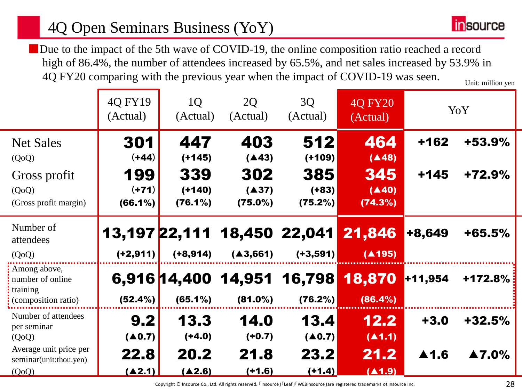## 4Q Open Seminars Business (YoY)

Due to the impact of the 5th wave of COVID-19, the online composition ratio reached a record high of 86.4%, the number of attendees increased by 65.5%, and net sales increased by 53.9% in 4Q FY20 comparing with the previous year when the impact of COVID-19 was seen. Unit: million yen

|                                                  | 4Q FY19<br>(Actual)    | 1Q<br>(Actual)       | 2Q<br>(Actual)      | 3Q<br>(Actual)    | <b>40 FY20</b><br>(Actual) |         | YoY      |
|--------------------------------------------------|------------------------|----------------------|---------------------|-------------------|----------------------------|---------|----------|
| <b>Net Sales</b>                                 | 301                    | 447                  | 403                 | 512               | 464                        | $+162$  | +53.9%   |
| (QoQ)                                            | $(+44)$                | $(+145)$             | (A43)               | $(+109)$          | (A48)                      |         |          |
| Gross profit                                     | 199                    | 339                  | 302                 | 385               | 345                        | $+145$  | $+72.9%$ |
| (QoQ)                                            | $(+71)$                | $(+140)$             | (A37)               | $(+83)$           | (A40)                      |         |          |
| (Gross profit margin)                            | $(66.1\%)$             | (76.1%)              | (75.0%)             | (75.2%)           | (74.3%)                    |         |          |
| Number of<br>attendees                           |                        | <b>13,197 22,111</b> |                     | 18,450 22,041     | 21,846                     | +8,649  | $+65.5%$ |
| (QoQ)                                            | $(+2, 911)$            | $(+8, 914)$          | (A3, 661)           | $(+3, 591)$       | (A195)                     |         |          |
| Among above,<br>number of online<br>training     |                        |                      | 6,916 14,400 14,951 | 16,798            | 18,870                     | +11,954 | +172.8%  |
| (composition ratio)                              | (52.4%)                | $(65.1\%)$           | $(81.0\%)$          | (76.2%)           | (86.4%)                    |         |          |
| Number of attendees                              | 9.2                    | 13.3                 | 14.0                | 13.4              | 12.2                       | $+3.0$  | $+32.5%$ |
| per seminar<br>(QoQ)                             | $(\blacktriangle 0.7)$ | $(+4.0)$             | $(+0.7)$            | $(\triangle 0.7)$ | (A1.1)                     |         |          |
| Average unit price per<br>seminar(unit:thou.yen) | 22.8                   | 20.2                 | 21.8                | 23.2              | 21.2                       | ▲1.6    | ▲7.0%    |
| (QoQ)                                            | (42.1)                 | (A2.6)               | $(+1.6)$            | (+1.4)            | (A1.9)                     |         |          |

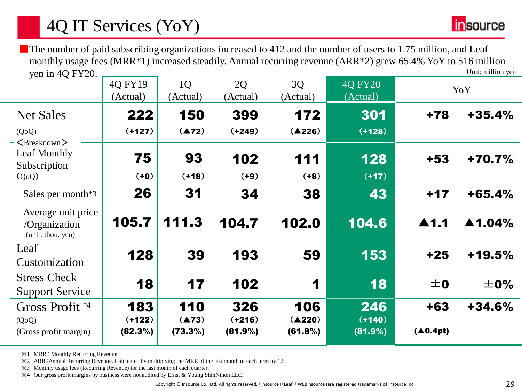Unit: million yen ■The number of paid subscribing organizations increased to 412 and the number of users to 1.75 million, and Leaf monthly usage fees (MRR\*1) increased steadily. Annual recurring revenue (ARR\*2) grew 65.4% YoY to 516 million yen in 4Q FY20.

|                                                           | 4Q FY19<br>(Actual) | 1Q<br>(Actual)   | 2Q<br>(Actual)      | 3Q<br>(Actual)    | <b>4Q FY20</b><br>(Actual) |                      | YoY                    |
|-----------------------------------------------------------|---------------------|------------------|---------------------|-------------------|----------------------------|----------------------|------------------------|
| <b>Net Sales</b>                                          | 222                 | 150              | 399                 | 172               | 301                        | +78                  | $+35.4%$               |
| (QoQ)                                                     | $(+127)$            | (A72)            | $(+249)$            | (A226)            | $(+128)$                   |                      |                        |
| <breakdown><br/>Leaf Monthly<br/>Subscription</breakdown> | 75                  | 93               | 102                 | 111               | 128                        | $+53$                | +70.7%                 |
| (Q <sub>0</sub> Q)                                        | $(+0)$              | $(+18)$          | $(+9)$              | $(+8)$            | $(+17)$                    |                      |                        |
| Sales per month*3                                         | 26                  | 31               | 34                  | 38                | 43                         | $+17$                | $+65.4%$               |
| Average unit price<br>/Organization<br>(unit: thou. yen)  | 105.7               | 111.3            | 104.7               | 102.0             | 104.6                      | $\blacktriangle$ 1.1 | $\blacktriangle$ 1.04% |
| Leaf<br>Customization                                     | 128                 | 39               | 193                 | 59                | 153                        | $+25$                | $+19.5%$               |
| <b>Stress Check</b><br><b>Support Service</b>             | 18                  | 17               | 102                 | 1                 | 18                         | ±0                   | ±0%                    |
| Gross Profit <sup>*4</sup>                                | 183                 | 110              | 326                 | 106               | 246                        | $+63$                | $+34.6%$               |
| (QoQ)<br>(Gross profit margin)                            | $(+122)$<br>(82.3%) | (A73)<br>(73.3%) | $(+216)$<br>(81.9%) | (A220)<br>(61.8%) | $(+140)$<br>(81.9%)        | (40.4pt)             |                        |

※1 MRR: Monthly Recurring Revenue

※2 ARR:Annual Recurring Revenue. Calculated by multiplying the MRR of the last month of each term by 12.

※3 Monthly usage fees (Recurring Revenue) for the last month of each quarter.

※4 Our gross profit margins by business were not audited by Ernst & Young ShinNihon LLC.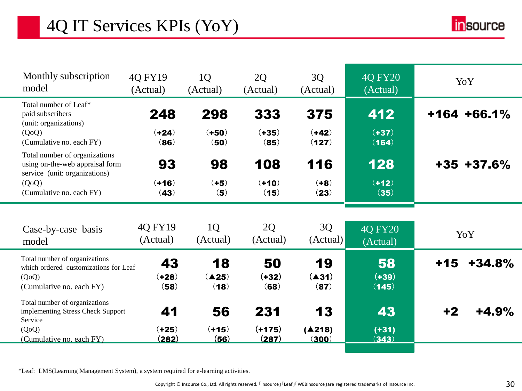# 4Q IT Services KPIs (YoY)



| Monthly subscription<br>model                                                                               | 40 FY19<br>(Actual)     | 1 <sub>Q</sub><br>(Actual) | 2Q<br>(Actual)        | 3Q<br>(Actual)      | 40 FY20<br>(Actual)        | YoY               |
|-------------------------------------------------------------------------------------------------------------|-------------------------|----------------------------|-----------------------|---------------------|----------------------------|-------------------|
| Total number of Leaf*<br>paid subscribers<br>(unit: organizations)<br>(QoQ)                                 | 248<br>$(+24)$          | 298<br>$(+50)$             | 333<br>$(+35)$        | 375<br>$(+42)$      | 412<br>$(+37)$             | $+164 + 66.1%$    |
| (Cumulative no. each FY)                                                                                    | (86)                    | (50)                       | (85)                  | (127)               | (164)                      |                   |
| Total number of organizations<br>using on-the-web appraisal form<br>service (unit: organizations)           | 93                      | 98                         | 108                   | 116                 | 128                        | $+35$ $+37.6\%$   |
| (QoQ)<br>(Cumulative no. each FY)                                                                           | $(+16)$<br>(43)         | $(+5)$<br>(5)              | $(+10)$<br>(15)       | $(+8)$<br>(23)      | $(+12)$<br>(35)            |                   |
|                                                                                                             |                         |                            |                       |                     |                            |                   |
| Case-by-case basis<br>model                                                                                 | 4Q FY19<br>(Actual)     | 1Q<br>(Actual)             | 2Q<br>(Actual)        | 3Q<br>(Actual)      | <b>40 FY20</b><br>(Actual) | YoY               |
| Total number of organizations<br>which ordered customizations for Leaf<br>(QoQ)<br>(Cumulative no. each FY) | 43<br>$(+28)$<br>(58)   | 18<br>(425)<br>(18)        | 50<br>$(+32)$<br>(68) | 19<br>(A31)<br>(87) | 58<br>$(+39)$<br>(145)     | $+15$<br>$+34.8%$ |
| Total number of organizations<br>implementing Stress Check Support<br>Service                               | 41                      | 56                         | 231                   | 13                  | 43                         | $+2$<br>$+4.9%$   |
| (QoQ)<br>(Cumulative no. each FY)                                                                           | $(+25)$<br><u>(282)</u> | $(+15)$<br>(56)            | $(+175)$<br>(287)     | (A218)<br>(300)     | $(+31)$<br>(343)           |                   |

\*Leaf: LMS(Learning Management System), a system required for e-learning activities.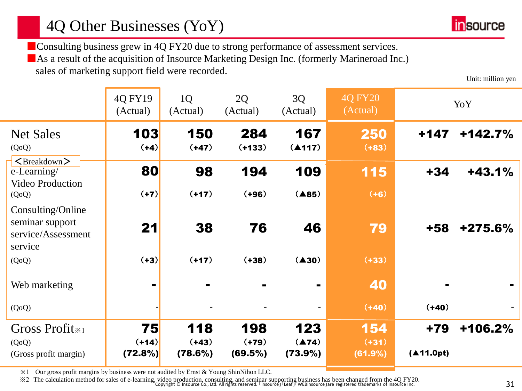■ Consulting business grew in 4Q FY20 due to strong performance of assessment services. ■As a result of the acquisition of Insource Marketing Design Inc. (formerly Marineroad Inc.) sales of marketing support field were recorded.

Unit: million yen

|                                                                                     | 4Q FY19<br>(Actual)      | 1 <sub>Q</sub><br>(Actual) | 2Q<br>(Actual)            | 3Q<br>(Actual)                     | <b>4Q FY20</b><br>(Actual) |                    | YoY       |
|-------------------------------------------------------------------------------------|--------------------------|----------------------------|---------------------------|------------------------------------|----------------------------|--------------------|-----------|
| <b>Net Sales</b><br>(QoQ)                                                           | 103<br>$(+4)$            | 150<br>$(+47)$             | 284<br>$(+133)$           | 167<br>(4117)                      | 250<br>$(+83)$             | +147               | $+142.7%$ |
| $\langle$ Breakdown $\rangle$<br>$e$ -Learning/<br><b>Video Production</b><br>(QoQ) | 80<br>$(+7)$             | 98<br>$(+17)$              | 194<br>$(+96)$            | 109<br>(485)                       | 115<br>$(+6)$              | $+34$              | $+43.1%$  |
| Consulting/Online<br>seminar support<br>service/Assessment<br>service               | 21                       | 38                         | 76                        | 46                                 | 79                         | +58                | $+275.6%$ |
| (QoQ)                                                                               | $(+3)$                   | $(+17)$                    | $(+38)$                   | $(\triangle 30)$                   | $(+33)$                    |                    |           |
| Web marketing                                                                       | $\blacksquare$           |                            |                           |                                    | 40                         | $\blacksquare$     |           |
| (QoQ)                                                                               |                          |                            |                           | $\overline{\phantom{0}}$           | $(+40)$                    | $(+40)$            |           |
| Gross Profit <sub>*1</sub><br>(QoQ)<br>(Gross profit margin)                        | 75<br>$(+14)$<br>(72.8%) | 118<br>$(+43)$<br>(78.6%)  | 198<br>$(+79)$<br>(69.5%) | 123<br>$(\triangle 74)$<br>(73.9%) | 154<br>$(+31)$<br>(61.9%)  | $+79$<br>(411.0pt) | +106.2%   |

※1 Our gross profit margins by business were not audited by Ernst & Young ShinNihon LLC.

Examplement of the calculation method for sales of e-learning, video production, consulting, and seminar supporting business has been changed from the 4Q FY20.<br>Copyright © Insource Co., Ltd. All rights reserved. I insourc

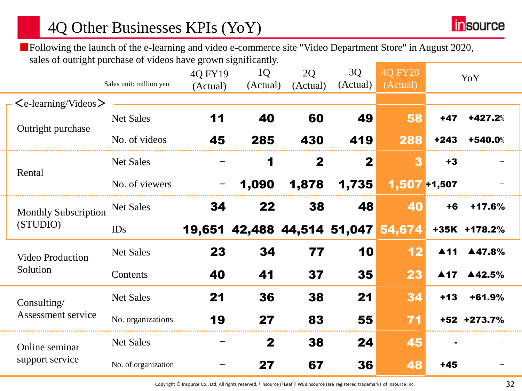## 4Q Other Businesses KPIs (YoY)

**in**source

■Following the launch of the e-learning and video e-commerce site "Video Department Store" in August 2020, sales of outright purchase of videos have grown significantly.

|                             |                                 | Sales unit: million yen | 4Q FY19<br>(Actual) | 1Q<br>(Actual)                     | 2Q<br>(Actual) | 3Q<br>(Actual)  | <b>40 FY20</b><br>(Actual) |                     | YoY          |  |
|-----------------------------|---------------------------------|-------------------------|---------------------|------------------------------------|----------------|-----------------|----------------------------|---------------------|--------------|--|
|                             | $\leq$ e-learning/Videos $\geq$ |                         |                     |                                    |                |                 |                            |                     |              |  |
|                             | Outright purchase               | <b>Net Sales</b>        | 11                  | 40                                 | 60             | 49              | 58                         | $+47$               | +427.2%      |  |
|                             |                                 | No. of videos           | 45                  | 285                                | 430            | 419             | 288                        | $+243$              | +540.0%      |  |
|                             |                                 | <b>Net Sales</b>        |                     | $\blacktriangleleft$               | $\mathbf{2}$   | $\mathbf 2$     | 3                          | $+3$                |              |  |
| Rental                      | No. of viewers                  |                         | 1,090               | 1,878                              | 1,735          | $1,507 + 1,507$ |                            |                     |              |  |
| <b>Monthly Subscription</b> | <b>Net Sales</b>                | 34                      | 22                  | 38                                 | 48             | 40              | $+6$                       | +17.6%              |              |  |
|                             | (STUDIO)                        | <b>IDs</b>              |                     | 19,651 42,488 44,514 51,047 54,674 |                |                 |                            |                     | +35K +178.2% |  |
|                             | <b>Video Production</b>         | <b>Net Sales</b>        | 23                  | 34                                 | 77             | 10              | 12                         |                     | ▲11 ▲47.8%   |  |
|                             | Solution                        | Contents                | 40                  | 41                                 | 37             | 35              | 23                         | $\blacktriangle$ 17 | ▲42.5%       |  |
|                             | Consulting/                     | <b>Net Sales</b>        | 21                  | 36                                 | 38             | 21              | 34                         | $+13$               | +61.9%       |  |
|                             | Assessment service              | No. organizations       | 19                  | 27                                 | 83             | 55              | 71                         |                     | +52 +273.7%  |  |
|                             | Online seminar                  | <b>Net Sales</b>        |                     | $\mathbf{2}$                       | 38             | 24              | 45                         |                     |              |  |
| support service             | No. of organization             |                         | 27                  | 67                                 | 36             | 48              | $+45$                      |                     |              |  |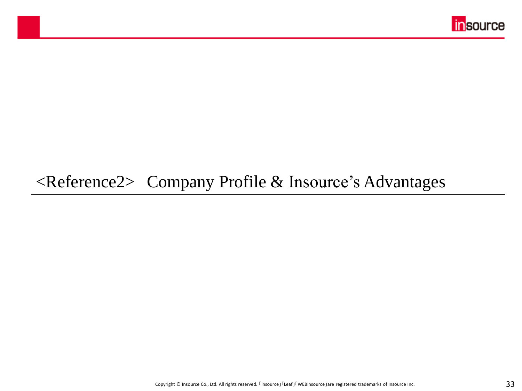

## <Reference2> Company Profile & Insource's Advantages

マスター タイトルの書式設定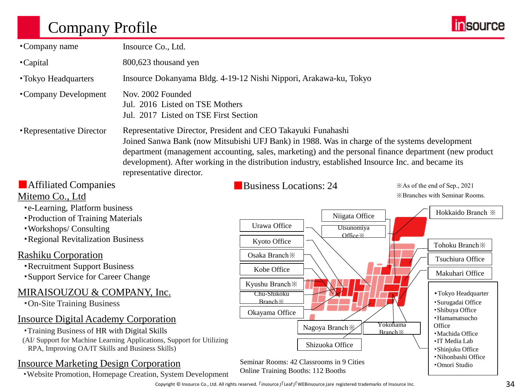## Company Profile



| •Company name                                                                                          | Insource Co., Ltd.                                                                            |                                                                                                                                                                                                                                                                                                                                                                               |          |                                                                |
|--------------------------------------------------------------------------------------------------------|-----------------------------------------------------------------------------------------------|-------------------------------------------------------------------------------------------------------------------------------------------------------------------------------------------------------------------------------------------------------------------------------------------------------------------------------------------------------------------------------|----------|----------------------------------------------------------------|
|                                                                                                        |                                                                                               |                                                                                                                                                                                                                                                                                                                                                                               |          |                                                                |
| <b>Capital</b>                                                                                         | 800,623 thousand yen                                                                          |                                                                                                                                                                                                                                                                                                                                                                               |          |                                                                |
| • Tokyo Headquarters                                                                                   |                                                                                               | Insource Dokanyama Bldg. 4-19-12 Nishi Nippori, Arakawa-ku, Tokyo                                                                                                                                                                                                                                                                                                             |          |                                                                |
| •Company Development                                                                                   | Nov. 2002 Founded<br>Jul. 2016 Listed on TSE Mothers<br>Jul. 2017 Listed on TSE First Section |                                                                                                                                                                                                                                                                                                                                                                               |          |                                                                |
| <b>•Representative Director</b>                                                                        | representative director.                                                                      | Representative Director, President and CEO Takayuki Funahashi<br>Joined Sanwa Bank (now Mitsubishi UFJ Bank) in 1988. Was in charge of the systems development<br>department (management accounting, sales, marketing) and the personal finance department (new product<br>development). After working in the distribution industry, established Insource Inc. and became its |          |                                                                |
| <b>Affiliated Companies</b>                                                                            |                                                                                               | <b>Business Locations: 24</b>                                                                                                                                                                                                                                                                                                                                                 |          | *As of the end of Sep., 2021                                   |
| Mitemo Co., Ltd                                                                                        |                                                                                               |                                                                                                                                                                                                                                                                                                                                                                               |          | <b>※Branches with Seminar Rooms.</b>                           |
| •e-Learning, Platform business                                                                         |                                                                                               | Niigata Office                                                                                                                                                                                                                                                                                                                                                                |          | Hokkaido Branch ※                                              |
| <b>• Production of Training Materials</b><br>· Workshops/ Consulting                                   |                                                                                               | Urawa Office<br>Utsunomiya                                                                                                                                                                                                                                                                                                                                                    |          |                                                                |
| <b>•Regional Revitalization Business</b>                                                               |                                                                                               | Office ×<br>Kyoto Office                                                                                                                                                                                                                                                                                                                                                      |          |                                                                |
|                                                                                                        |                                                                                               |                                                                                                                                                                                                                                                                                                                                                                               |          | Tohoku Branch <b>*</b>                                         |
| <b>Rashiku Corporation</b><br><b>-Recruitment Support Business</b>                                     |                                                                                               | Osaka Branch ※                                                                                                                                                                                                                                                                                                                                                                |          | Tsuchiura Office                                               |
| <b>Support Service for Career Change</b>                                                               |                                                                                               | Kobe Office                                                                                                                                                                                                                                                                                                                                                                   |          | Makuhari Office                                                |
| MIRAISOUZOU & COMPANY, Inc.<br><b>•On-Site Training Business</b>                                       |                                                                                               | Kyushu Branch ※<br>Chu-Shikoku<br>Branch X<br>Okayama Office                                                                                                                                                                                                                                                                                                                  |          | • Tokyo Headquarter<br>· Surugadai Office<br>· Shibuya Office  |
| <b>Insource Digital Academy Corporation</b>                                                            |                                                                                               |                                                                                                                                                                                                                                                                                                                                                                               | Yokohama | · Hamamatsucho<br>Office                                       |
| <b>Training Business of HR with Digital Skills</b><br>RPA, Improving OA/IT Skills and Business Skills) | (AI/ Support for Machine Learning Applications, Support for Utilizing                         | Nagoya Branch ※<br>Shizuoka Office                                                                                                                                                                                                                                                                                                                                            | Branch X | · Machida Office<br><b>· IT Media Lab</b><br>· Shinjuku Office |
| <b>Insource Marketing Design Corporation</b>                                                           | . Website Promotion, Homepage Creation, System Development                                    | Seminar Rooms: 42 Classrooms in 9 Cities<br>Online Training Booths: 112 Booths                                                                                                                                                                                                                                                                                                |          | ·Nihonbashi Office<br>•Omori Studio                            |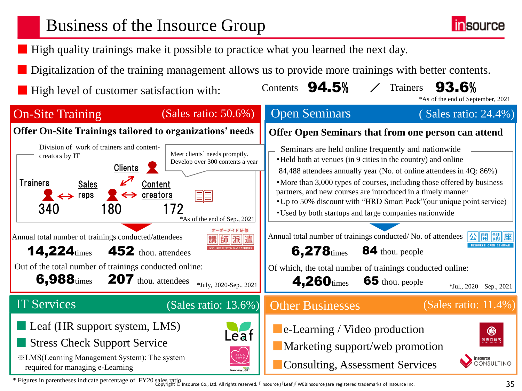# Business of the Insource Group

- High quality trainings make it possible to practice what you learned the next day.
- Digitalization of the training management allows us to provide more trainings with better contents.
- High level of customer satisfaction with:





/

Contents  $94.5%$  / Trainers  $93.6%$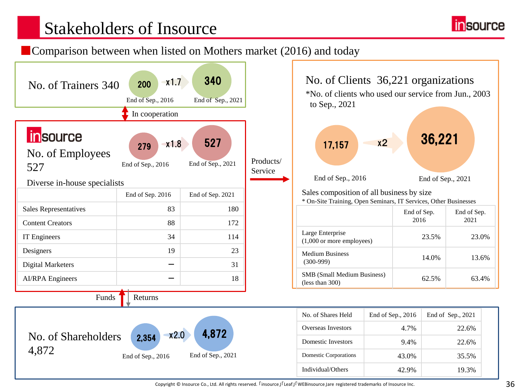

### ■Comparison between when listed on Mothers market (2016) and today





| No. of Shares Held    | End of Sep., $2016$ | End of Sep., 2021 |
|-----------------------|---------------------|-------------------|
| Overseas Investors    | 4.7%                | 22.6%             |
| Domestic Investors    | 9.4%                | 22.6%             |
| Domestic Corporations | 43.0%               | 35.5%             |
| Individual/Others     | 42.9%               | 19.3%             |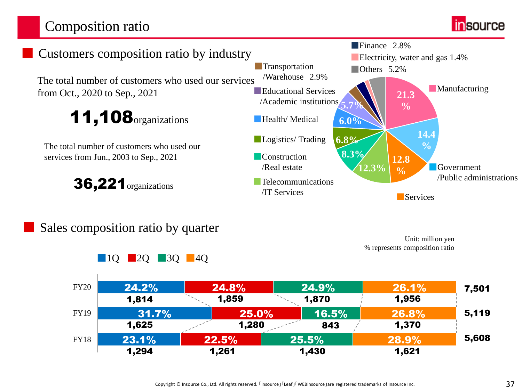## Composition ratio





### Sales composition ratio by quarter

■10 **■20 ■30 ■40** 



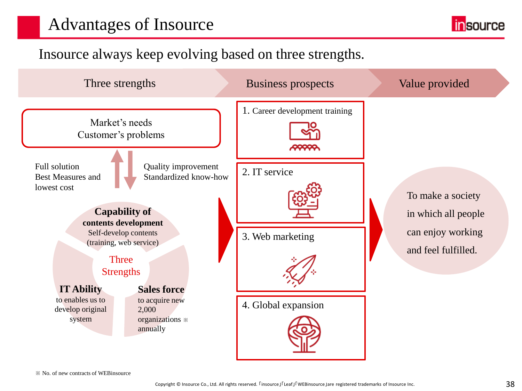# Advantages of Insource

**insource** 

## Insource always keep evolving based on three strengths.

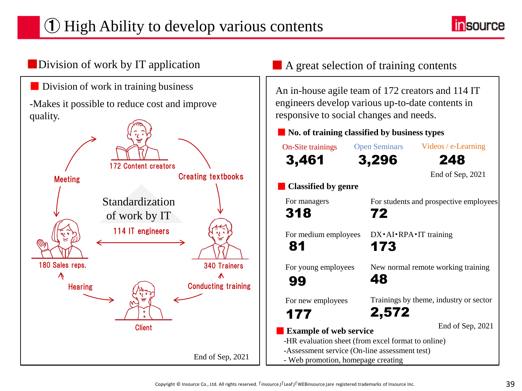# ① High Ability to develop various contents



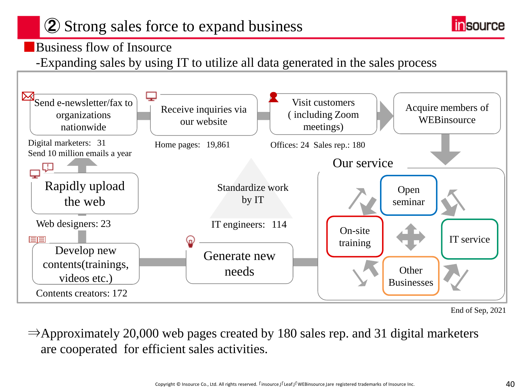# 2 Strong sales force to expand business



### ■Business flow of Insource

-Expanding sales by using IT to utilize all data generated in the sales process



End of Sep, 2021

 $\Rightarrow$ Approximately 20,000 web pages created by 180 sales rep. and 31 digital marketers are cooperated for efficient sales activities.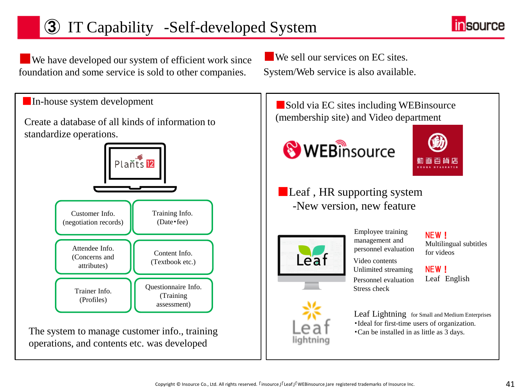# 3 IT Capability -Self-developed System



■ We have developed our system of efficient work since foundation and some service is sold to other companies.

■ We sell our services on EC sites. System/Web service is also available.

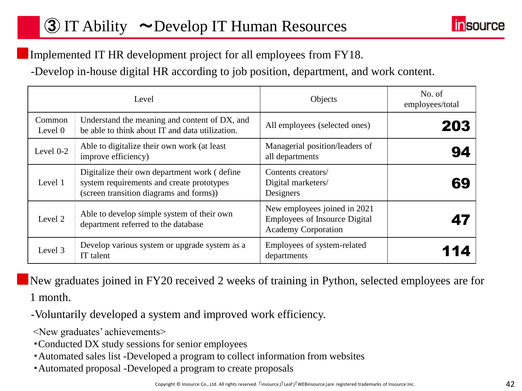# 3 IT Ability ~Develop IT Human Resources



### Implemented IT HR development project for all employees from FY18.

-Develop in-house digital HR according to job position, department, and work content.

|                   | Level                                                                                                                                | Objects                                                                                            | No. of<br>employees/total |
|-------------------|--------------------------------------------------------------------------------------------------------------------------------------|----------------------------------------------------------------------------------------------------|---------------------------|
| Common<br>Level 0 | Understand the meaning and content of DX, and<br>be able to think about IT and data utilization.                                     | All employees (selected ones)                                                                      | 203                       |
| Level 0-2         | Able to digitalize their own work (at least<br>improve efficiency)                                                                   | Managerial position/leaders of<br>all departments                                                  | 94                        |
| Level 1           | Digitalize their own department work (define<br>system requirements and create prototypes<br>(screen transition diagrams and forms)) | Contents creators/<br>Digital marketers/<br>Designers                                              | 69                        |
| Level 2           | Able to develop simple system of their own<br>department referred to the database                                                    | New employees joined in 2021<br><b>Employees of Insource Digital</b><br><b>Academy Corporation</b> |                           |
| Level 3           | Develop various system or upgrade system as a<br>IT talent                                                                           | Employees of system-related<br>departments                                                         |                           |

■New graduates joined in FY20 received 2 weeks of training in Python, selected employees are for 1 month.

-Voluntarily developed a system and improved work efficiency.

<New graduates' achievements>

- ・Conducted DX study sessions for senior employees
- ・Automated sales list -Developed a program to collect information from websites
- ・Automated proposal -Developed a program to create proposals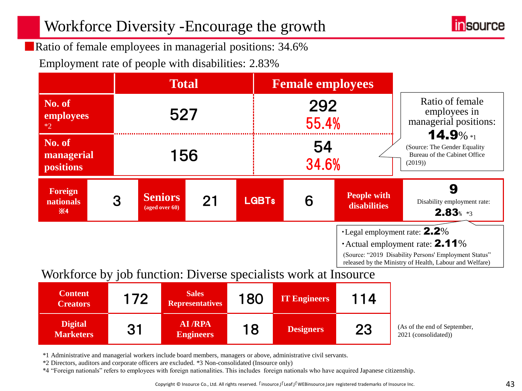## Workforce Diversity -Encourage the growth



■Ratio of female employees in managerial positions: 34.6%

Employment rate of people with disabilities: 2.83%

|                                                                 |                    | <b>Total</b>                     |    |              | <b>Female employees</b>                                                               |                                    |                                                                                                                                                                                                             |
|-----------------------------------------------------------------|--------------------|----------------------------------|----|--------------|---------------------------------------------------------------------------------------|------------------------------------|-------------------------------------------------------------------------------------------------------------------------------------------------------------------------------------------------------------|
| No. of<br>employees<br>$*2$                                     |                    | 527                              |    |              | 292<br>55.4%                                                                          |                                    | Ratio of female<br>employees in<br>managerial positions:                                                                                                                                                    |
| No. of<br>managerial<br><b>positions</b>                        | 54<br>156<br>34.6% |                                  |    |              | $14.9\%*1$<br>(Source: The Gender Equality)<br>Bureau of the Cabinet Office<br>(2019) |                                    |                                                                                                                                                                                                             |
| Foreign<br><b>nationals</b><br>$\mathbf{\times}$ 4              | 3                  | <b>Seniors</b><br>(aged over 60) | 21 | <b>LGBTs</b> | 6                                                                                     | <b>People with</b><br>disabilities | 9<br>Disability employment rate:<br>$2.83$ $*3$                                                                                                                                                             |
| Workforce by job function: Diverse specialists work at Insource |                    |                                  |    |              |                                                                                       |                                    | $\cdot$ Legal employment rate: $2.2\%$<br>$\cdot$ Actual employment rate: <b>2.11</b> %<br>(Source: "2019 Disability Persons' Employment Status"<br>released by the Ministry of Health, Labour and Welfare) |

### Workforce by job function: Diverse specialists work at Insource

| <b>Content</b><br><b>Creators</b>  | 172 | <b>Sales</b><br><b>Representatives</b> | 180 | <b>IT Engineers</b> | 114 |                                                      |
|------------------------------------|-----|----------------------------------------|-----|---------------------|-----|------------------------------------------------------|
| <b>Digital</b><br><b>Marketers</b> | 31  | AI/RPA<br><b>Engineers</b>             | 18  | <b>Designers</b>    | 23  | (As of the end of September,<br>2021 (consolidated)) |

\*1 Administrative and managerial workers include board members, managers or above, administrative civil servants.

\*2 Directors, auditors and corporate officers are excluded. \*3 Non-consolidated (Insource only)

\*4 "Foreign nationals" refers to employees with foreign nationalities. This includes foreign nationals who have acquired Japanese citizenship.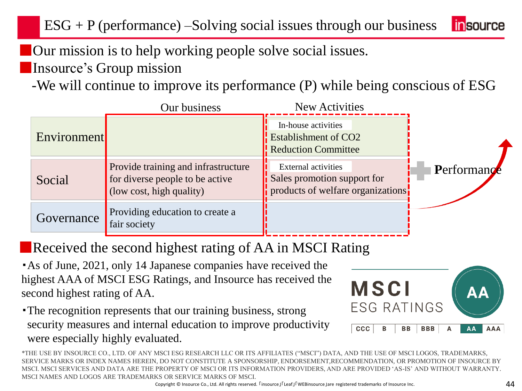**Our mission is to help working people solve social issues.** 

■Insource's Group mission

-We will continue to improve its performance (P) while being conscious of ESG

|                    | Our business                                                                                       | <b>New Activities</b>                                                                          |             |
|--------------------|----------------------------------------------------------------------------------------------------|------------------------------------------------------------------------------------------------|-------------|
| <b>Environment</b> |                                                                                                    | In-house activities<br>$\frac{1}{2}$ Establishment of CO2<br><b>Reduction Committee</b>        |             |
| Social             | Provide training and infrastructure<br>for diverse people to be active<br>$\cos t$ , high quality) | <b>External activities</b><br>Sales promotion support for<br>products of welfare organizations | Performance |
| Governance         | Providing education to create a<br>fair society                                                    |                                                                                                |             |

■Received the second highest rating of AA in MSCI Rating

・As of June, 2021, only 14 Japanese companies have received the highest AAA of MSCI ESG Ratings, and Insource has received the second highest rating of AA.

・The recognition represents that our training business, strong security measures and internal education to improve productivity were especially highly evaluated.

MSCI **ESG RATINGS CCC BB BBB** AA **AAA** 

\*THE USE BY INSOURCE CO., LTD. OF ANY MSCI ESG RESEARCH LLC OR ITS AFFILIATES ("MSCI") DATA, AND THE USE OF MSCI LOGOS, TRADEMARKS, SERVICE MARKS OR INDEX NAMES HEREIN, DO NOT CONSTITUTE A SPONSORSHIP, ENDORSEMENT,RECOMMENDATION, OR PROMOTION OF INSOURCE BY MSCI. MSCI SERVICES AND DATA ARE THE PROPERTY OF MSCI OR ITS INFORMATION PROVIDERS, AND ARE PROVIDED 'AS-IS' AND WITHOUT WARRANTY. MSCI NAMES AND LOGOS ARE TRADEMARKS OR SERVICE MARKS OF MSCI.